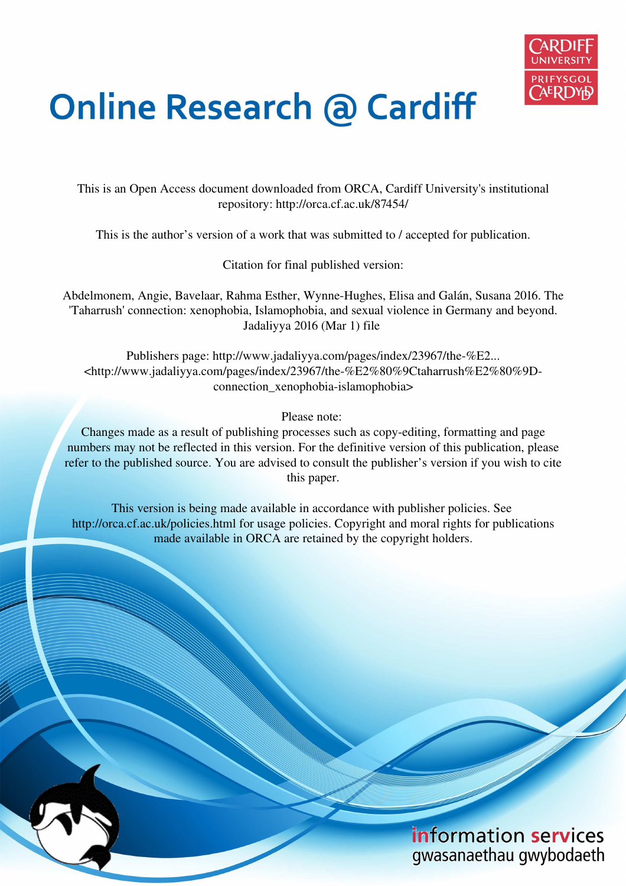

# **Online Research @ Cardiff**

This is an Open Access document downloaded from ORCA, Cardiff University's institutional repository: http://orca.cf.ac.uk/87454/

This is the author's version of a work that was submitted to / accepted for publication.

Citation for final published version:

Abdelmonem, Angie, Bavelaar, Rahma Esther, Wynne-Hughes, Elisa and Galán, Susana 2016. The 'Taharrush' connection: xenophobia, Islamophobia, and sexual violence in Germany and beyond. Jadaliyya 2016 (Mar 1) file

Publishers page: http://www.jadaliyya.com/pages/index/23967/the-%E2... <http://www.jadaliyya.com/pages/index/23967/the-%E2%80%9Ctaharrush%E2%80%9Dconnection\_xenophobia-islamophobia>

Please note:

Changes made as a result of publishing processes such as copy-editing, formatting and page numbers may not be reflected in this version. For the definitive version of this publication, please refer to the published source. You are advised to consult the publisher's version if you wish to cite this paper.

This version is being made available in accordance with publisher policies. See http://orca.cf.ac.uk/policies.html for usage policies. Copyright and moral rights for publications made available in ORCA are retained by the copyright holders.

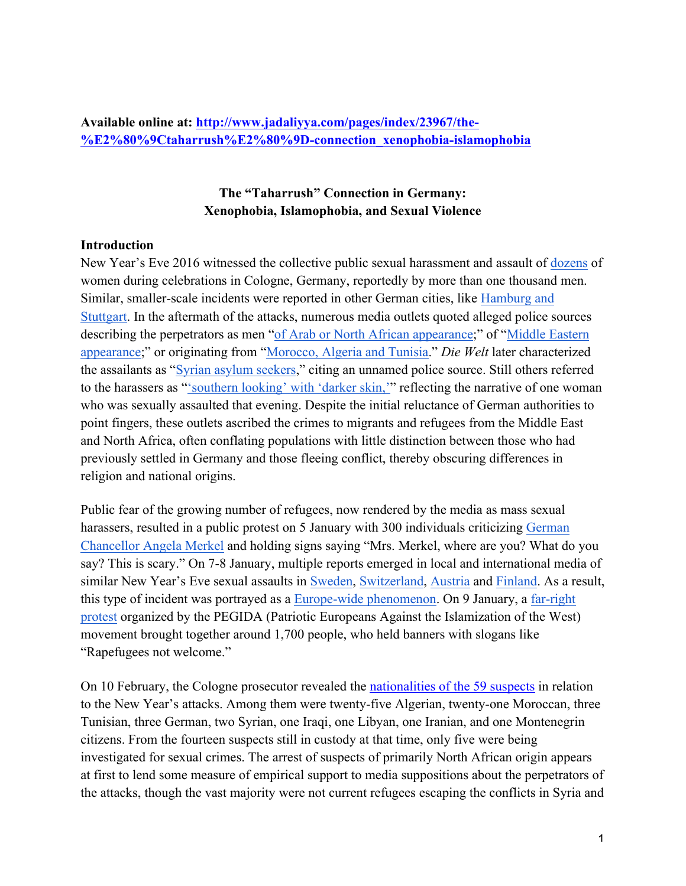**Available online at: http://www.jadaliyya.com/pages/index/23967/the- %E2%80%9Ctaharrush%E2%80%9D-connection\_xenophobia-islamophobia**

## **The "Taharrush" Connection in Germany: Xenophobia, Islamophobia, and Sexual Violence**

#### **Introduction**

New Year's Eve 2016 witnessed the collective public sexual harassment and assault of dozens of women during celebrations in Cologne, Germany, reportedly by more than one thousand men. Similar, smaller-scale incidents were reported in other German cities, like Hamburg and Stuttgart. In the aftermath of the attacks, numerous media outlets quoted alleged police sources describing the perpetrators as men "of Arab or North African appearance;" of "Middle Eastern appearance;" or originating from "Morocco, Algeria and Tunisia." *Die Welt* later characterized the assailants as "Syrian asylum seekers," citing an unnamed police source. Still others referred to the harassers as "'southern looking' with 'darker skin,'" reflecting the narrative of one woman who was sexually assaulted that evening. Despite the initial reluctance of German authorities to point fingers, these outlets ascribed the crimes to migrants and refugees from the Middle East and North Africa, often conflating populations with little distinction between those who had previously settled in Germany and those fleeing conflict, thereby obscuring differences in religion and national origins.

Public fear of the growing number of refugees, now rendered by the media as mass sexual harassers, resulted in a public protest on 5 January with 300 individuals criticizing German Chancellor Angela Merkel and holding signs saying "Mrs. Merkel, where are you? What do you say? This is scary." On 7-8 January, multiple reports emerged in local and international media of similar New Year's Eve sexual assaults in Sweden, Switzerland, Austria and Finland. As a result, this type of incident was portrayed as a Europe-wide phenomenon. On 9 January, a far-right protest organized by the PEGIDA (Patriotic Europeans Against the Islamization of the West) movement brought together around 1,700 people, who held banners with slogans like "Rapefugees not welcome."

On 10 February, the Cologne prosecutor revealed the nationalities of the 59 suspects in relation to the New Year's attacks. Among them were twenty-five Algerian, twenty-one Moroccan, three Tunisian, three German, two Syrian, one Iraqi, one Libyan, one Iranian, and one Montenegrin citizens. From the fourteen suspects still in custody at that time, only five were being investigated for sexual crimes. The arrest of suspects of primarily North African origin appears at first to lend some measure of empirical support to media suppositions about the perpetrators of the attacks, though the vast majority were not current refugees escaping the conflicts in Syria and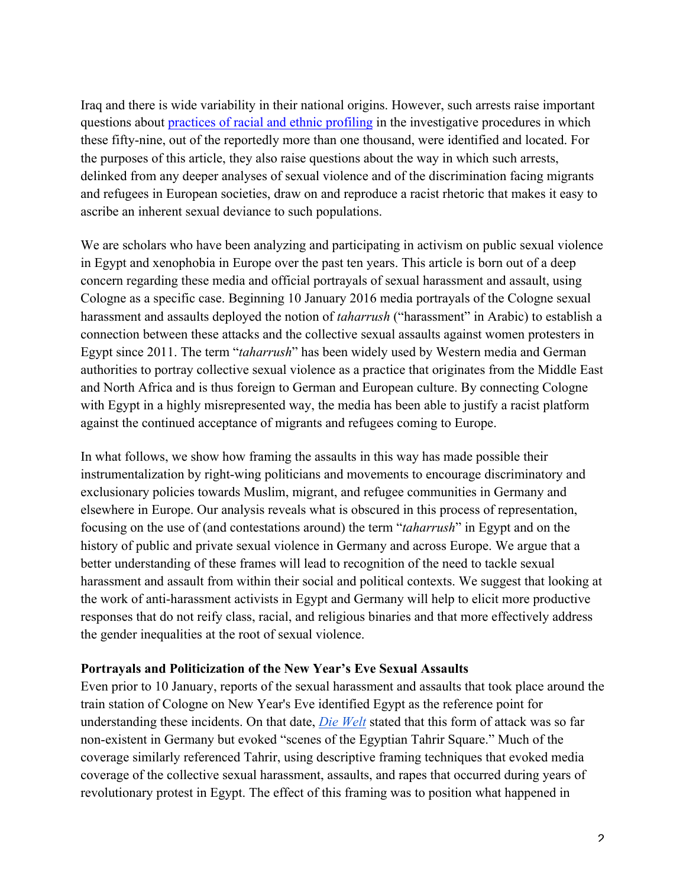Iraq and there is wide variability in their national origins. However, such arrests raise important questions about practices of racial and ethnic profiling in the investigative procedures in which these fifty-nine, out of the reportedly more than one thousand, were identified and located. For the purposes of this article, they also raise questions about the way in which such arrests, delinked from any deeper analyses of sexual violence and of the discrimination facing migrants and refugees in European societies, draw on and reproduce a racist rhetoric that makes it easy to ascribe an inherent sexual deviance to such populations.

We are scholars who have been analyzing and participating in activism on public sexual violence in Egypt and xenophobia in Europe over the past ten years. This article is born out of a deep concern regarding these media and official portrayals of sexual harassment and assault, using Cologne as a specific case. Beginning 10 January 2016 media portrayals of the Cologne sexual harassment and assaults deployed the notion of *taharrush* ("harassment" in Arabic) to establish a connection between these attacks and the collective sexual assaults against women protesters in Egypt since 2011. The term "*taharrush*" has been widely used by Western media and German authorities to portray collective sexual violence as a practice that originates from the Middle East and North Africa and is thus foreign to German and European culture. By connecting Cologne with Egypt in a highly misrepresented way, the media has been able to justify a racist platform against the continued acceptance of migrants and refugees coming to Europe.

In what follows, we show how framing the assaults in this way has made possible their instrumentalization by right-wing politicians and movements to encourage discriminatory and exclusionary policies towards Muslim, migrant, and refugee communities in Germany and elsewhere in Europe. Our analysis reveals what is obscured in this process of representation, focusing on the use of (and contestations around) the term "*taharrush*" in Egypt and on the history of public and private sexual violence in Germany and across Europe. We argue that a better understanding of these frames will lead to recognition of the need to tackle sexual harassment and assault from within their social and political contexts. We suggest that looking at the work of anti-harassment activists in Egypt and Germany will help to elicit more productive responses that do not reify class, racial, and religious binaries and that more effectively address the gender inequalities at the root of sexual violence.

#### **Portrayals and Politicization of the New Year's Eve Sexual Assaults**

Even prior to 10 January, reports of the sexual harassment and assaults that took place around the train station of Cologne on New Year's Eve identified Egypt as the reference point for understanding these incidents. On that date, *Die Welt* stated that this form of attack was so far non-existent in Germany but evoked "scenes of the Egyptian Tahrir Square." Much of the coverage similarly referenced Tahrir, using descriptive framing techniques that evoked media coverage of the collective sexual harassment, assaults, and rapes that occurred during years of revolutionary protest in Egypt. The effect of this framing was to position what happened in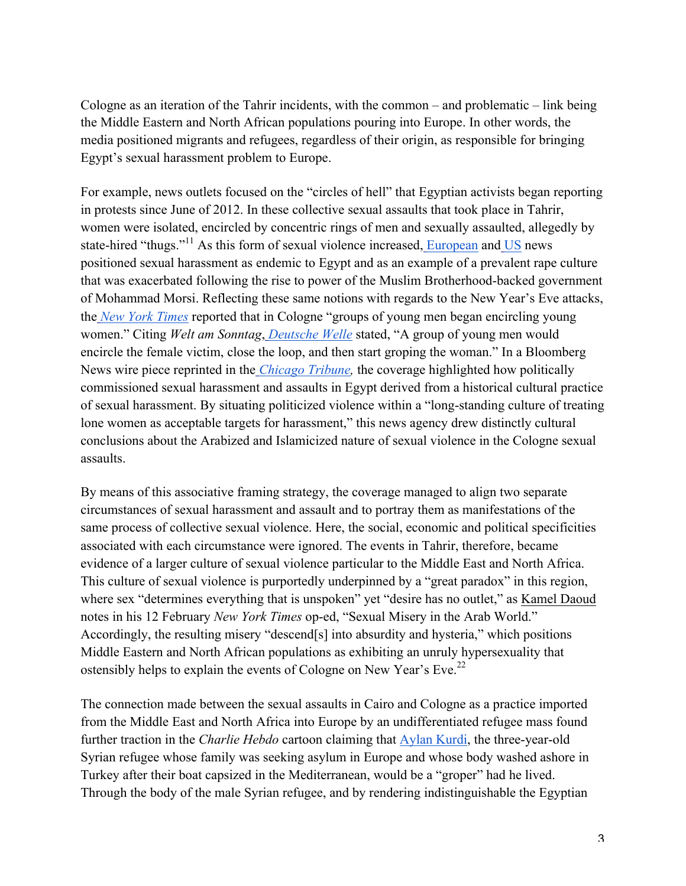Cologne as an iteration of the Tahrir incidents, with the common – and problematic – link being the Middle Eastern and North African populations pouring into Europe. In other words, the media positioned migrants and refugees, regardless of their origin, as responsible for bringing Egypt's sexual harassment problem to Europe.

For example, news outlets focused on the "circles of hell" that Egyptian activists began reporting in protests since June of 2012. In these collective sexual assaults that took place in Tahrir, women were isolated, encircled by concentric rings of men and sexually assaulted, allegedly by state-hired "thugs."<sup>11</sup> As this form of sexual violence increased, European and US news positioned sexual harassment as endemic to Egypt and as an example of a prevalent rape culture that was exacerbated following the rise to power of the Muslim Brotherhood-backed government of Mohammad Morsi. Reflecting these same notions with regards to the New Year's Eve attacks, the *New York Times* reported that in Cologne "groups of young men began encircling young women." Citing *Welt am Sonntag*, *Deutsche Welle* stated, "A group of young men would encircle the female victim, close the loop, and then start groping the woman." In a Bloomberg News wire piece reprinted in the *Chicago Tribune,* the coverage highlighted how politically commissioned sexual harassment and assaults in Egypt derived from a historical cultural practice of sexual harassment. By situating politicized violence within a "long-standing culture of treating lone women as acceptable targets for harassment," this news agency drew distinctly cultural conclusions about the Arabized and Islamicized nature of sexual violence in the Cologne sexual assaults.

By means of this associative framing strategy, the coverage managed to align two separate circumstances of sexual harassment and assault and to portray them as manifestations of the same process of collective sexual violence. Here, the social, economic and political specificities associated with each circumstance were ignored. The events in Tahrir, therefore, became evidence of a larger culture of sexual violence particular to the Middle East and North Africa. This culture of sexual violence is purportedly underpinned by a "great paradox" in this region, where sex "determines everything that is unspoken" yet "desire has no outlet," as Kamel Daoud notes in his 12 February *New York Times* op-ed, "Sexual Misery in the Arab World." Accordingly, the resulting misery "descend[s] into absurdity and hysteria," which positions Middle Eastern and North African populations as exhibiting an unruly hypersexuality that ostensibly helps to explain the events of Cologne on New Year's Eve.<sup>22</sup>

The connection made between the sexual assaults in Cairo and Cologne as a practice imported from the Middle East and North Africa into Europe by an undifferentiated refugee mass found further traction in the *Charlie Hebdo* cartoon claiming that Aylan Kurdi, the three-year-old Syrian refugee whose family was seeking asylum in Europe and whose body washed ashore in Turkey after their boat capsized in the Mediterranean, would be a "groper" had he lived. Through the body of the male Syrian refugee, and by rendering indistinguishable the Egyptian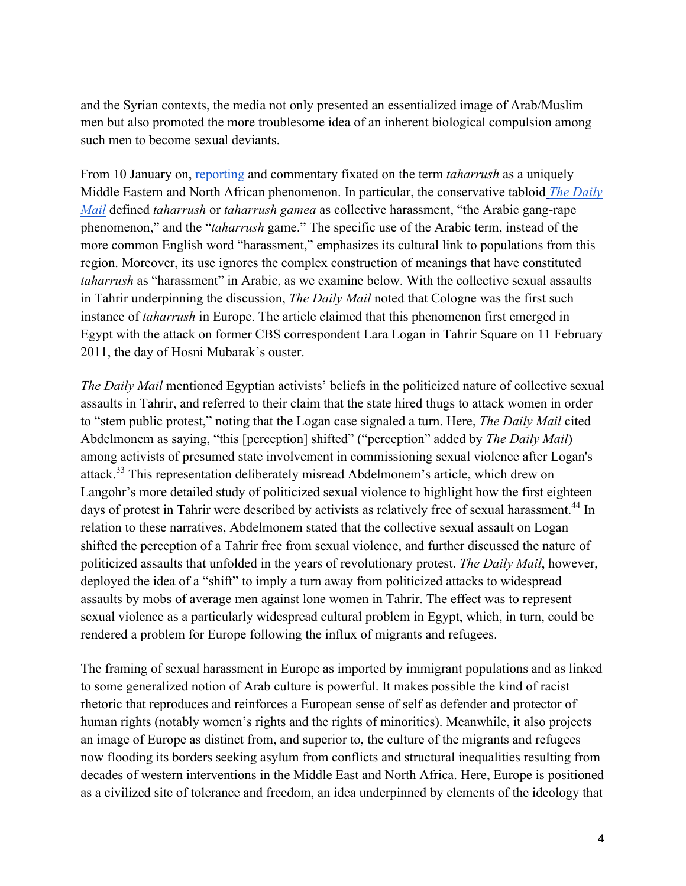and the Syrian contexts, the media not only presented an essentialized image of Arab/Muslim men but also promoted the more troublesome idea of an inherent biological compulsion among such men to become sexual deviants.

From 10 January on, reporting and commentary fixated on the term *taharrush* as a uniquely Middle Eastern and North African phenomenon. In particular, the conservative tabloid *The Daily Mail* defined *taharrush* or *taharrush gamea* as collective harassment, "the Arabic gang-rape phenomenon," and the "*taharrush* game." The specific use of the Arabic term, instead of the more common English word "harassment," emphasizes its cultural link to populations from this region. Moreover, its use ignores the complex construction of meanings that have constituted *taharrush* as "harassment" in Arabic, as we examine below. With the collective sexual assaults in Tahrir underpinning the discussion, *The Daily Mail* noted that Cologne was the first such instance of *taharrush* in Europe. The article claimed that this phenomenon first emerged in Egypt with the attack on former CBS correspondent Lara Logan in Tahrir Square on 11 February 2011, the day of Hosni Mubarak's ouster.

*The Daily Mail* mentioned Egyptian activists' beliefs in the politicized nature of collective sexual assaults in Tahrir, and referred to their claim that the state hired thugs to attack women in order to "stem public protest," noting that the Logan case signaled a turn. Here, *The Daily Mail* cited Abdelmonem as saying, "this [perception] shifted" ("perception" added by *The Daily Mail*) among activists of presumed state involvement in commissioning sexual violence after Logan's attack.<sup>33</sup> This representation deliberately misread Abdelmonem's article, which drew on Langohr's more detailed study of politicized sexual violence to highlight how the first eighteen days of protest in Tahrir were described by activists as relatively free of sexual harassment.<sup>44</sup> In relation to these narratives, Abdelmonem stated that the collective sexual assault on Logan shifted the perception of a Tahrir free from sexual violence, and further discussed the nature of politicized assaults that unfolded in the years of revolutionary protest. *The Daily Mail*, however, deployed the idea of a "shift" to imply a turn away from politicized attacks to widespread assaults by mobs of average men against lone women in Tahrir. The effect was to represent sexual violence as a particularly widespread cultural problem in Egypt, which, in turn, could be rendered a problem for Europe following the influx of migrants and refugees.

The framing of sexual harassment in Europe as imported by immigrant populations and as linked to some generalized notion of Arab culture is powerful. It makes possible the kind of racist rhetoric that reproduces and reinforces a European sense of self as defender and protector of human rights (notably women's rights and the rights of minorities). Meanwhile, it also projects an image of Europe as distinct from, and superior to, the culture of the migrants and refugees now flooding its borders seeking asylum from conflicts and structural inequalities resulting from decades of western interventions in the Middle East and North Africa. Here, Europe is positioned as a civilized site of tolerance and freedom, an idea underpinned by elements of the ideology that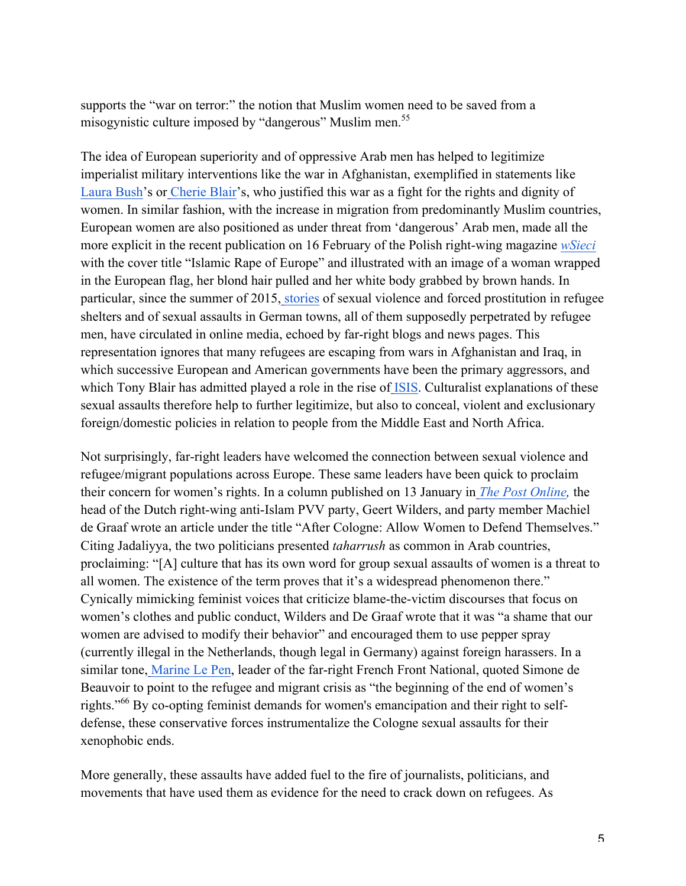supports the "war on terror:" the notion that Muslim women need to be saved from a misogynistic culture imposed by "dangerous" Muslim men.<sup>55</sup>

The idea of European superiority and of oppressive Arab men has helped to legitimize imperialist military interventions like the war in Afghanistan, exemplified in statements like Laura Bush's or Cherie Blair's, who justified this war as a fight for the rights and dignity of women. In similar fashion, with the increase in migration from predominantly Muslim countries, European women are also positioned as under threat from 'dangerous' Arab men, made all the more explicit in the recent publication on 16 February of the Polish right-wing magazine *wSieci* with the cover title "Islamic Rape of Europe" and illustrated with an image of a woman wrapped in the European flag, her blond hair pulled and her white body grabbed by brown hands. In particular, since the summer of 2015, stories of sexual violence and forced prostitution in refugee shelters and of sexual assaults in German towns, all of them supposedly perpetrated by refugee men, have circulated in online media, echoed by far-right blogs and news pages. This representation ignores that many refugees are escaping from wars in Afghanistan and Iraq, in which successive European and American governments have been the primary aggressors, and which Tony Blair has admitted played a role in the rise of ISIS. Culturalist explanations of these sexual assaults therefore help to further legitimize, but also to conceal, violent and exclusionary foreign/domestic policies in relation to people from the Middle East and North Africa.

Not surprisingly, far-right leaders have welcomed the connection between sexual violence and refugee/migrant populations across Europe. These same leaders have been quick to proclaim their concern for women's rights. In a column published on 13 January in *The Post Online,* the head of the Dutch right-wing anti-Islam PVV party, Geert Wilders, and party member Machiel de Graaf wrote an article under the title "After Cologne: Allow Women to Defend Themselves." Citing Jadaliyya, the two politicians presented *taharrush* as common in Arab countries, proclaiming: "[A] culture that has its own word for group sexual assaults of women is a threat to all women. The existence of the term proves that it's a widespread phenomenon there." Cynically mimicking feminist voices that criticize blame-the-victim discourses that focus on women's clothes and public conduct, Wilders and De Graaf wrote that it was "a shame that our women are advised to modify their behavior" and encouraged them to use pepper spray (currently illegal in the Netherlands, though legal in Germany) against foreign harassers. In a similar tone, Marine Le Pen, leader of the far-right French Front National, quoted Simone de Beauvoir to point to the refugee and migrant crisis as "the beginning of the end of women's rights."<sup>66</sup> By co-opting feminist demands for women's emancipation and their right to selfdefense, these conservative forces instrumentalize the Cologne sexual assaults for their xenophobic ends.

More generally, these assaults have added fuel to the fire of journalists, politicians, and movements that have used them as evidence for the need to crack down on refugees. As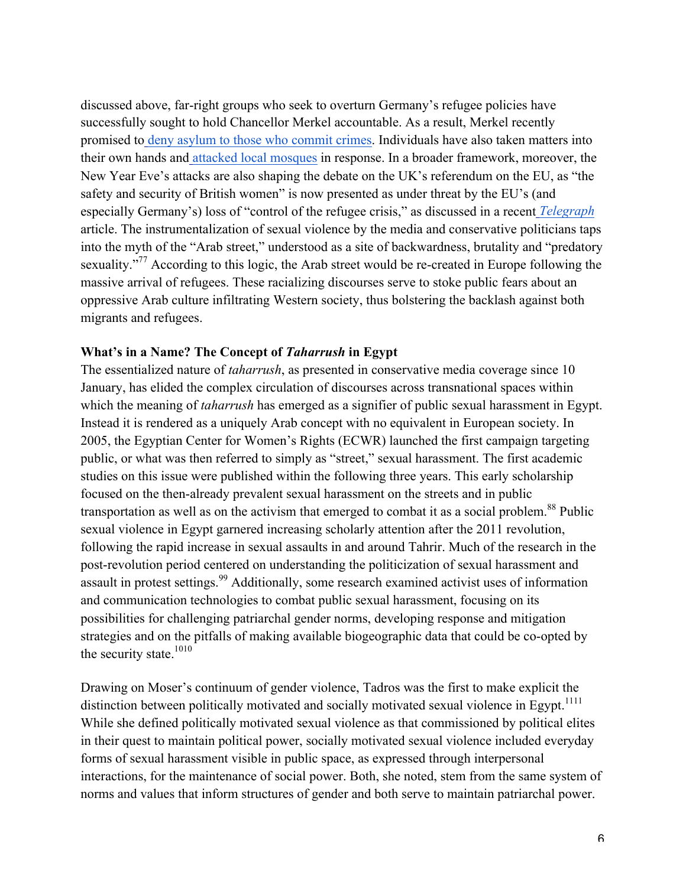discussed above, far-right groups who seek to overturn Germany's refugee policies have successfully sought to hold Chancellor Merkel accountable. As a result, Merkel recently promised to deny asylum to those who commit crimes. Individuals have also taken matters into their own hands and attacked local mosques in response. In a broader framework, moreover, the New Year Eve's attacks are also shaping the debate on the UK's referendum on the EU, as "the safety and security of British women" is now presented as under threat by the EU's (and especially Germany's) loss of "control of the refugee crisis," as discussed in a recent *Telegraph* article. The instrumentalization of sexual violence by the media and conservative politicians taps into the myth of the "Arab street," understood as a site of backwardness, brutality and "predatory sexuality."<sup>77</sup> According to this logic, the Arab street would be re-created in Europe following the massive arrival of refugees. These racializing discourses serve to stoke public fears about an oppressive Arab culture infiltrating Western society, thus bolstering the backlash against both migrants and refugees.

#### **What's in a Name? The Concept of** *Taharrush* **in Egypt**

The essentialized nature of *taharrush*, as presented in conservative media coverage since 10 January, has elided the complex circulation of discourses across transnational spaces within which the meaning of *taharrush* has emerged as a signifier of public sexual harassment in Egypt. Instead it is rendered as a uniquely Arab concept with no equivalent in European society. In 2005, the Egyptian Center for Women's Rights (ECWR) launched the first campaign targeting public, or what was then referred to simply as "street," sexual harassment. The first academic studies on this issue were published within the following three years. This early scholarship focused on the then-already prevalent sexual harassment on the streets and in public transportation as well as on the activism that emerged to combat it as a social problem.<sup>88</sup> Public sexual violence in Egypt garnered increasing scholarly attention after the 2011 revolution, following the rapid increase in sexual assaults in and around Tahrir. Much of the research in the post-revolution period centered on understanding the politicization of sexual harassment and assault in protest settings.<sup>99</sup> Additionally, some research examined activist uses of information and communication technologies to combat public sexual harassment, focusing on its possibilities for challenging patriarchal gender norms, developing response and mitigation strategies and on the pitfalls of making available biogeographic data that could be co-opted by the security state.<sup>1010</sup>

Drawing on Moser's continuum of gender violence, Tadros was the first to make explicit the distinction between politically motivated and socially motivated sexual violence in Egypt.<sup>1111</sup> While she defined politically motivated sexual violence as that commissioned by political elites in their quest to maintain political power, socially motivated sexual violence included everyday forms of sexual harassment visible in public space, as expressed through interpersonal interactions, for the maintenance of social power. Both, she noted, stem from the same system of norms and values that inform structures of gender and both serve to maintain patriarchal power.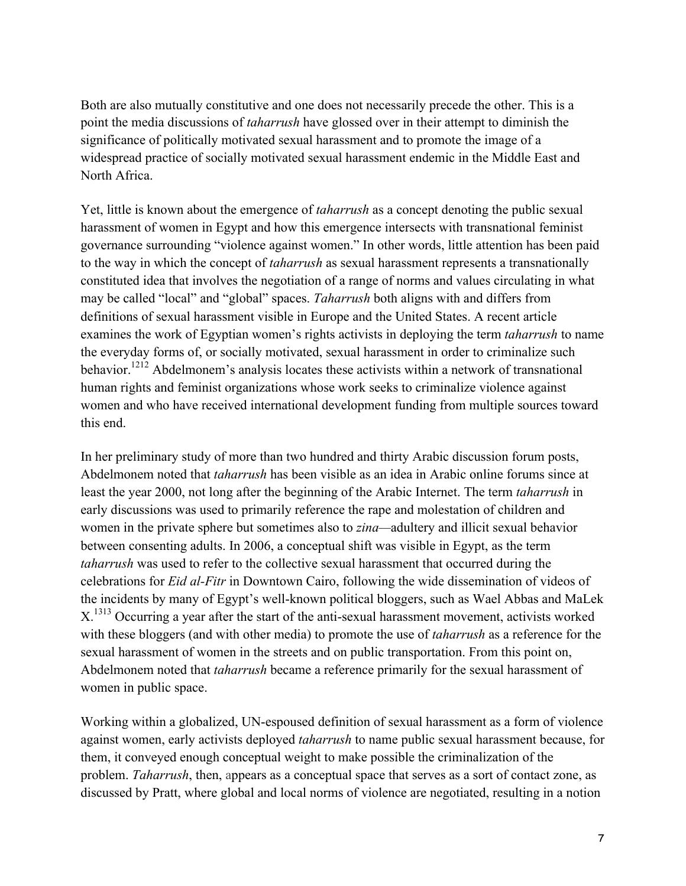Both are also mutually constitutive and one does not necessarily precede the other. This is a point the media discussions of *taharrush* have glossed over in their attempt to diminish the significance of politically motivated sexual harassment and to promote the image of a widespread practice of socially motivated sexual harassment endemic in the Middle East and North Africa.

Yet, little is known about the emergence of *taharrush* as a concept denoting the public sexual harassment of women in Egypt and how this emergence intersects with transnational feminist governance surrounding "violence against women." In other words, little attention has been paid to the way in which the concept of *taharrush* as sexual harassment represents a transnationally constituted idea that involves the negotiation of a range of norms and values circulating in what may be called "local" and "global" spaces. *Taharrush* both aligns with and differs from definitions of sexual harassment visible in Europe and the United States. A recent article examines the work of Egyptian women's rights activists in deploying the term *taharrush* to name the everyday forms of, or socially motivated, sexual harassment in order to criminalize such behavior.<sup>1212</sup> Abdelmonem's analysis locates these activists within a network of transnational human rights and feminist organizations whose work seeks to criminalize violence against women and who have received international development funding from multiple sources toward this end.

In her preliminary study of more than two hundred and thirty Arabic discussion forum posts, Abdelmonem noted that *taharrush* has been visible as an idea in Arabic online forums since at least the year 2000, not long after the beginning of the Arabic Internet. The term *taharrush* in early discussions was used to primarily reference the rape and molestation of children and women in the private sphere but sometimes also to *zina—*adultery and illicit sexual behavior between consenting adults. In 2006, a conceptual shift was visible in Egypt, as the term *taharrush* was used to refer to the collective sexual harassment that occurred during the celebrations for *Eid al-Fitr* in Downtown Cairo, following the wide dissemination of videos of the incidents by many of Egypt's well-known political bloggers, such as Wael Abbas and MaLek X<sup>1313</sup> Occurring a year after the start of the anti-sexual harassment movement, activists worked with these bloggers (and with other media) to promote the use of *taharrush* as a reference for the sexual harassment of women in the streets and on public transportation. From this point on, Abdelmonem noted that *taharrush* became a reference primarily for the sexual harassment of women in public space.

Working within a globalized, UN-espoused definition of sexual harassment as a form of violence against women, early activists deployed *taharrush* to name public sexual harassment because, for them, it conveyed enough conceptual weight to make possible the criminalization of the problem. *Taharrush*, then, appears as a conceptual space that serves as a sort of contact zone, as discussed by Pratt, where global and local norms of violence are negotiated, resulting in a notion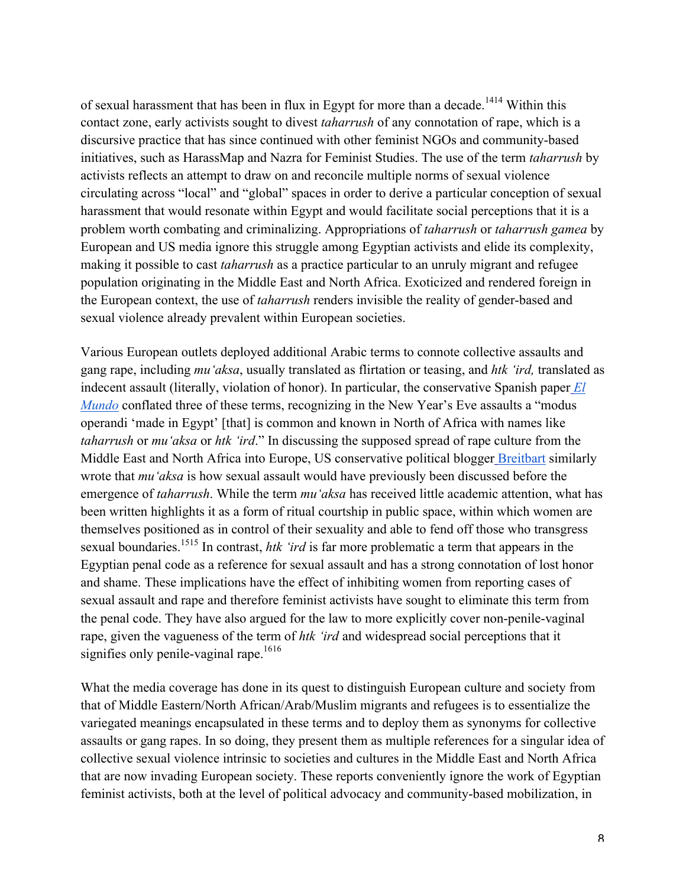of sexual harassment that has been in flux in Egypt for more than a decade.<sup>1414</sup> Within this contact zone, early activists sought to divest *taharrush* of any connotation of rape, which is a discursive practice that has since continued with other feminist NGOs and community-based initiatives, such as HarassMap and Nazra for Feminist Studies. The use of the term *taharrush* by activists reflects an attempt to draw on and reconcile multiple norms of sexual violence circulating across "local" and "global" spaces in order to derive a particular conception of sexual harassment that would resonate within Egypt and would facilitate social perceptions that it is a problem worth combating and criminalizing. Appropriations of *taharrush* or *taharrush gamea* by European and US media ignore this struggle among Egyptian activists and elide its complexity, making it possible to cast *taharrush* as a practice particular to an unruly migrant and refugee population originating in the Middle East and North Africa. Exoticized and rendered foreign in the European context, the use of *taharrush* renders invisible the reality of gender-based and sexual violence already prevalent within European societies.

Various European outlets deployed additional Arabic terms to connote collective assaults and gang rape, including *mu'aksa*, usually translated as flirtation or teasing, and *htk 'ird,* translated as indecent assault (literally, violation of honor). In particular, the conservative Spanish paper *El Mundo* conflated three of these terms, recognizing in the New Year's Eve assaults a "modus" operandi 'made in Egypt' [that] is common and known in North of Africa with names like *taharrush* or *mu'aksa* or *htk 'ird*." In discussing the supposed spread of rape culture from the Middle East and North Africa into Europe, US conservative political blogger Breitbart similarly wrote that *mu'aksa* is how sexual assault would have previously been discussed before the emergence of *taharrush*. While the term *mu'aksa* has received little academic attention, what has been written highlights it as a form of ritual courtship in public space, within which women are themselves positioned as in control of their sexuality and able to fend off those who transgress sexual boundaries.<sup>1515</sup> In contrast, *htk 'ird* is far more problematic a term that appears in the Egyptian penal code as a reference for sexual assault and has a strong connotation of lost honor and shame. These implications have the effect of inhibiting women from reporting cases of sexual assault and rape and therefore feminist activists have sought to eliminate this term from the penal code. They have also argued for the law to more explicitly cover non-penile-vaginal rape, given the vagueness of the term of *htk 'ird* and widespread social perceptions that it signifies only penile-vaginal rape.<sup>1616</sup>

What the media coverage has done in its quest to distinguish European culture and society from that of Middle Eastern/North African/Arab/Muslim migrants and refugees is to essentialize the variegated meanings encapsulated in these terms and to deploy them as synonyms for collective assaults or gang rapes. In so doing, they present them as multiple references for a singular idea of collective sexual violence intrinsic to societies and cultures in the Middle East and North Africa that are now invading European society. These reports conveniently ignore the work of Egyptian feminist activists, both at the level of political advocacy and community-based mobilization, in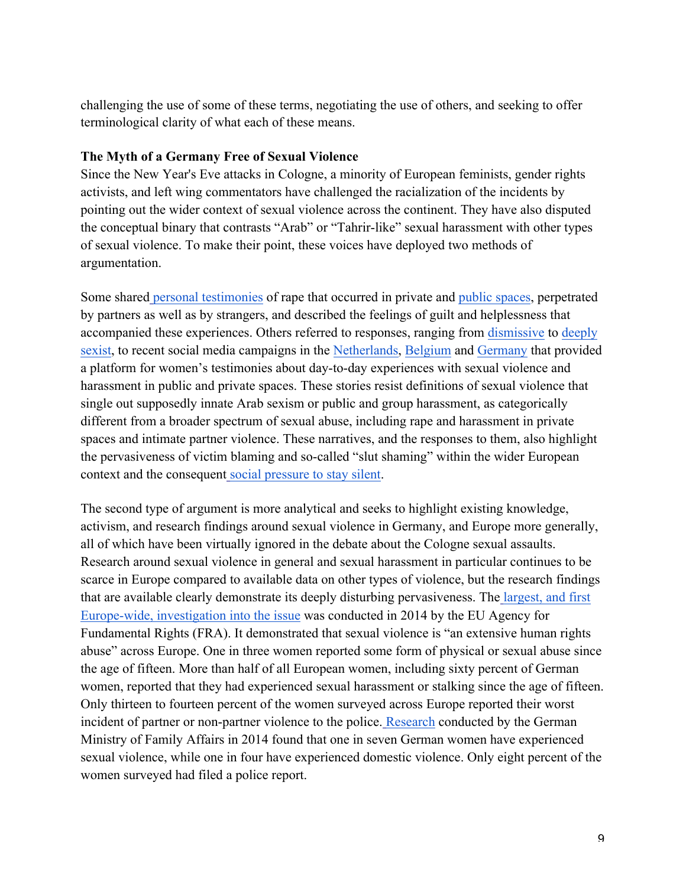challenging the use of some of these terms, negotiating the use of others, and seeking to offer terminological clarity of what each of these means.

#### **The Myth of a Germany Free of Sexual Violence**

Since the New Year's Eve attacks in Cologne, a minority of European feminists, gender rights activists, and left wing commentators have challenged the racialization of the incidents by pointing out the wider context of sexual violence across the continent. They have also disputed the conceptual binary that contrasts "Arab" or "Tahrir-like" sexual harassment with other types of sexual violence. To make their point, these voices have deployed two methods of argumentation.

Some shared personal testimonies of rape that occurred in private and public spaces, perpetrated by partners as well as by strangers, and described the feelings of guilt and helplessness that accompanied these experiences. Others referred to responses, ranging from dismissive to deeply sexist, to recent social media campaigns in the Netherlands, Belgium and Germany that provided a platform for women's testimonies about day-to-day experiences with sexual violence and harassment in public and private spaces. These stories resist definitions of sexual violence that single out supposedly innate Arab sexism or public and group harassment, as categorically different from a broader spectrum of sexual abuse, including rape and harassment in private spaces and intimate partner violence. These narratives, and the responses to them, also highlight the pervasiveness of victim blaming and so-called "slut shaming" within the wider European context and the consequent social pressure to stay silent.

The second type of argument is more analytical and seeks to highlight existing knowledge, activism, and research findings around sexual violence in Germany, and Europe more generally, all of which have been virtually ignored in the debate about the Cologne sexual assaults. Research around sexual violence in general and sexual harassment in particular continues to be scarce in Europe compared to available data on other types of violence, but the research findings that are available clearly demonstrate its deeply disturbing pervasiveness. The largest, and first Europe-wide, investigation into the issue was conducted in 2014 by the EU Agency for Fundamental Rights (FRA). It demonstrated that sexual violence is "an extensive human rights abuse" across Europe. One in three women reported some form of physical or sexual abuse since the age of fifteen. More than half of all European women, including sixty percent of German women, reported that they had experienced sexual harassment or stalking since the age of fifteen. Only thirteen to fourteen percent of the women surveyed across Europe reported their worst incident of partner or non-partner violence to the police. Research conducted by the German Ministry of Family Affairs in 2014 found that one in seven German women have experienced sexual violence, while one in four have experienced domestic violence. Only eight percent of the women surveyed had filed a police report.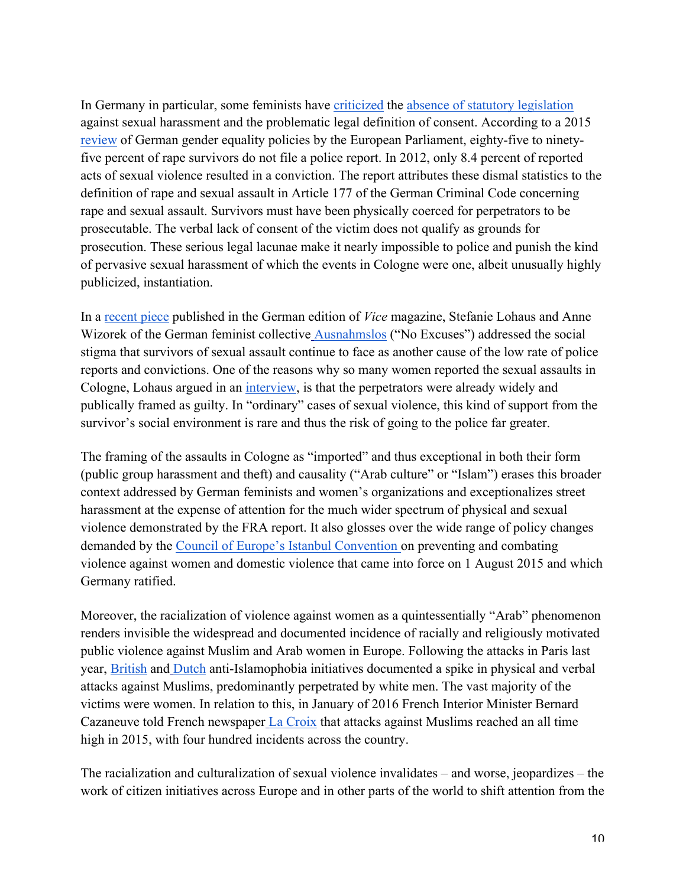In Germany in particular, some feminists have criticized the absence of statutory legislation against sexual harassment and the problematic legal definition of consent. According to a 2015 review of German gender equality policies by the European Parliament, eighty-five to ninetyfive percent of rape survivors do not file a police report. In 2012, only 8.4 percent of reported acts of sexual violence resulted in a conviction. The report attributes these dismal statistics to the definition of rape and sexual assault in Article 177 of the German Criminal Code concerning rape and sexual assault. Survivors must have been physically coerced for perpetrators to be prosecutable. The verbal lack of consent of the victim does not qualify as grounds for prosecution. These serious legal lacunae make it nearly impossible to police and punish the kind of pervasive sexual harassment of which the events in Cologne were one, albeit unusually highly publicized, instantiation.

In a recent piece published in the German edition of *Vice* magazine, Stefanie Lohaus and Anne Wizorek of the German feminist collective Ausnahmslos ("No Excuses") addressed the social stigma that survivors of sexual assault continue to face as another cause of the low rate of police reports and convictions. One of the reasons why so many women reported the sexual assaults in Cologne, Lohaus argued in an interview, is that the perpetrators were already widely and publically framed as guilty. In "ordinary" cases of sexual violence, this kind of support from the survivor's social environment is rare and thus the risk of going to the police far greater.

The framing of the assaults in Cologne as "imported" and thus exceptional in both their form (public group harassment and theft) and causality ("Arab culture" or "Islam") erases this broader context addressed by German feminists and women's organizations and exceptionalizes street harassment at the expense of attention for the much wider spectrum of physical and sexual violence demonstrated by the FRA report. It also glosses over the wide range of policy changes demanded by the Council of Europe's Istanbul Convention on preventing and combating violence against women and domestic violence that came into force on 1 August 2015 and which Germany ratified.

Moreover, the racialization of violence against women as a quintessentially "Arab" phenomenon renders invisible the widespread and documented incidence of racially and religiously motivated public violence against Muslim and Arab women in Europe. Following the attacks in Paris last year, British and Dutch anti-Islamophobia initiatives documented a spike in physical and verbal attacks against Muslims, predominantly perpetrated by white men. The vast majority of the victims were women. In relation to this, in January of 2016 French Interior Minister Bernard Cazaneuve told French newspaper La Croix that attacks against Muslims reached an all time high in 2015, with four hundred incidents across the country.

The racialization and culturalization of sexual violence invalidates – and worse, jeopardizes – the work of citizen initiatives across Europe and in other parts of the world to shift attention from the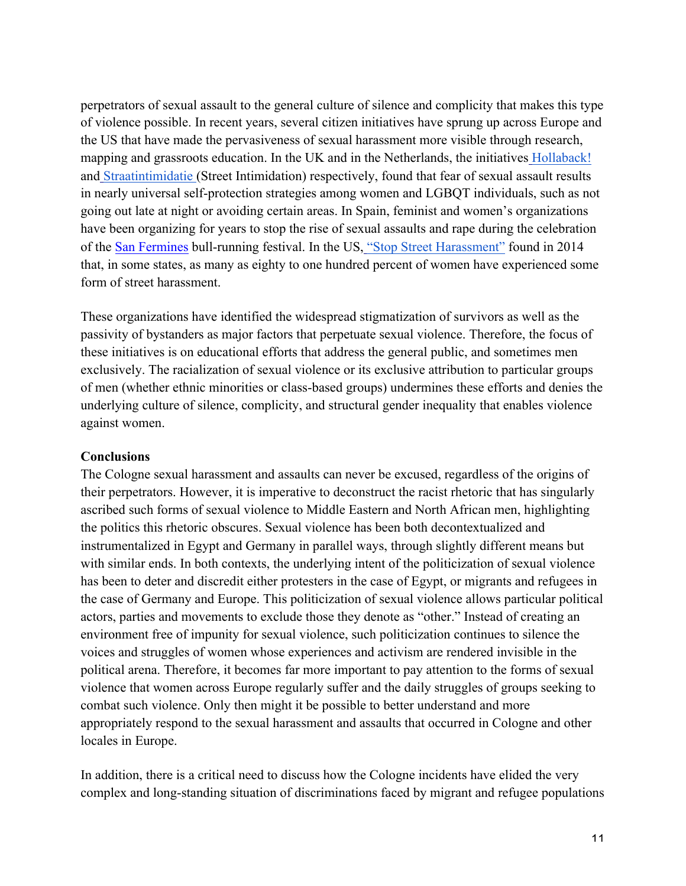perpetrators of sexual assault to the general culture of silence and complicity that makes this type of violence possible. In recent years, several citizen initiatives have sprung up across Europe and the US that have made the pervasiveness of sexual harassment more visible through research, mapping and grassroots education. In the UK and in the Netherlands, the initiatives Hollaback! and Straatintimidatie (Street Intimidation) respectively, found that fear of sexual assault results in nearly universal self-protection strategies among women and LGBQT individuals, such as not going out late at night or avoiding certain areas. In Spain, feminist and women's organizations have been organizing for years to stop the rise of sexual assaults and rape during the celebration of the San Fermines bull-running festival. In the US, "Stop Street Harassment" found in 2014 that, in some states, as many as eighty to one hundred percent of women have experienced some form of street harassment.

These organizations have identified the widespread stigmatization of survivors as well as the passivity of bystanders as major factors that perpetuate sexual violence. Therefore, the focus of these initiatives is on educational efforts that address the general public, and sometimes men exclusively. The racialization of sexual violence or its exclusive attribution to particular groups of men (whether ethnic minorities or class-based groups) undermines these efforts and denies the underlying culture of silence, complicity, and structural gender inequality that enables violence against women.

#### **Conclusions**

The Cologne sexual harassment and assaults can never be excused, regardless of the origins of their perpetrators. However, it is imperative to deconstruct the racist rhetoric that has singularly ascribed such forms of sexual violence to Middle Eastern and North African men, highlighting the politics this rhetoric obscures. Sexual violence has been both decontextualized and instrumentalized in Egypt and Germany in parallel ways, through slightly different means but with similar ends. In both contexts, the underlying intent of the politicization of sexual violence has been to deter and discredit either protesters in the case of Egypt, or migrants and refugees in the case of Germany and Europe. This politicization of sexual violence allows particular political actors, parties and movements to exclude those they denote as "other." Instead of creating an environment free of impunity for sexual violence, such politicization continues to silence the voices and struggles of women whose experiences and activism are rendered invisible in the political arena. Therefore, it becomes far more important to pay attention to the forms of sexual violence that women across Europe regularly suffer and the daily struggles of groups seeking to combat such violence. Only then might it be possible to better understand and more appropriately respond to the sexual harassment and assaults that occurred in Cologne and other locales in Europe.

In addition, there is a critical need to discuss how the Cologne incidents have elided the very complex and long-standing situation of discriminations faced by migrant and refugee populations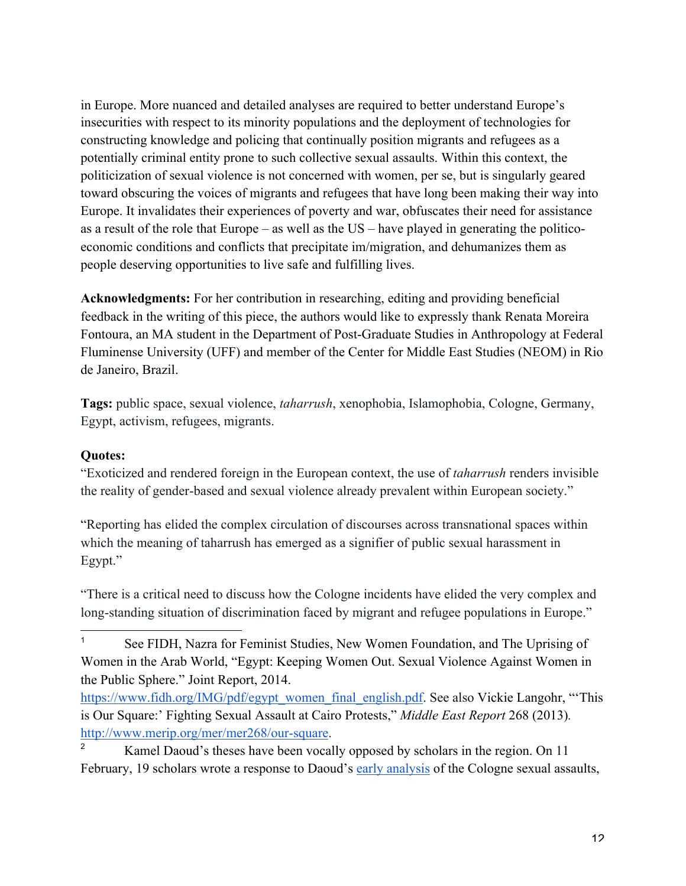in Europe. More nuanced and detailed analyses are required to better understand Europe's insecurities with respect to its minority populations and the deployment of technologies for constructing knowledge and policing that continually position migrants and refugees as a potentially criminal entity prone to such collective sexual assaults. Within this context, the politicization of sexual violence is not concerned with women, per se, but is singularly geared toward obscuring the voices of migrants and refugees that have long been making their way into Europe. It invalidates their experiences of poverty and war, obfuscates their need for assistance as a result of the role that Europe – as well as the US – have played in generating the politicoeconomic conditions and conflicts that precipitate im/migration, and dehumanizes them as people deserving opportunities to live safe and fulfilling lives.

**Acknowledgments:** For her contribution in researching, editing and providing beneficial feedback in the writing of this piece, the authors would like to expressly thank Renata Moreira Fontoura, an MA student in the Department of Post-Graduate Studies in Anthropology at Federal Fluminense University (UFF) and member of the Center for Middle East Studies (NEOM) in Rio de Janeiro, Brazil.

**Tags:** public space, sexual violence, *taharrush*, xenophobia, Islamophobia, Cologne, Germany, Egypt, activism, refugees, migrants.

### **Quotes:**

l.

"Exoticized and rendered foreign in the European context, the use of *taharrush* renders invisible the reality of gender-based and sexual violence already prevalent within European society."

"Reporting has elided the complex circulation of discourses across transnational spaces within which the meaning of taharrush has emerged as a signifier of public sexual harassment in Egypt."

"There is a critical need to discuss how the Cologne incidents have elided the very complex and long-standing situation of discrimination faced by migrant and refugee populations in Europe."

<sup>1</sup> See FIDH, Nazra for Feminist Studies, New Women Foundation, and The Uprising of Women in the Arab World, "Egypt: Keeping Women Out. Sexual Violence Against Women in the Public Sphere." Joint Report, 2014.

https://www.fidh.org/IMG/pdf/egypt\_women\_final\_english.pdf. See also Vickie Langohr, "'This is Our Square:' Fighting Sexual Assault at Cairo Protests," *Middle East Report* 268 (2013)*.*  http://www.merip.org/mer/mer268/our-square.

<sup>2</sup> Kamel Daoud's theses have been vocally opposed by scholars in the region. On 11 February, 19 scholars wrote a response to Daoud's early analysis of the Cologne sexual assaults,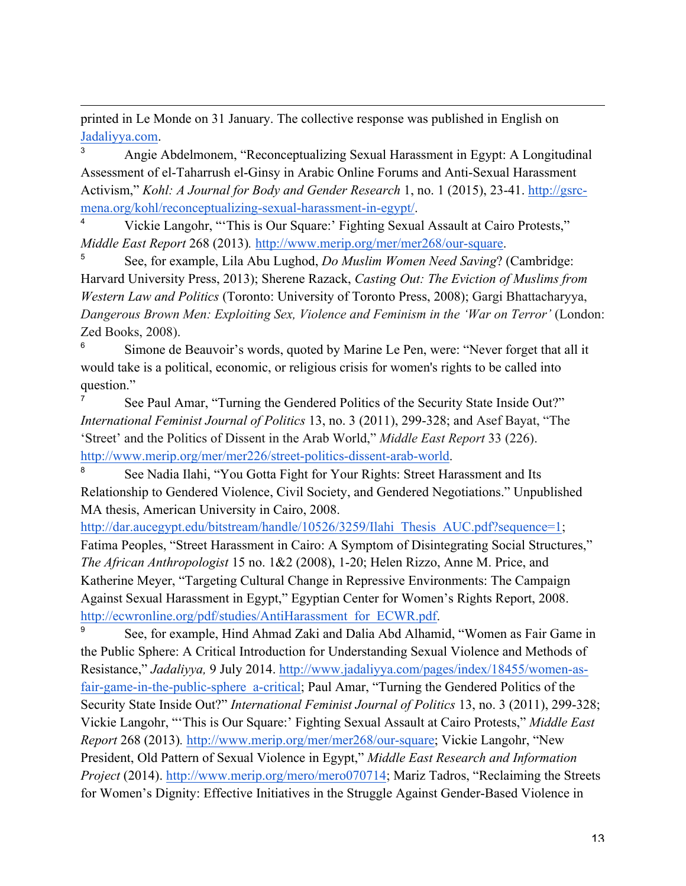printed in Le Monde on 31 January. The collective response was published in English on Jadaliyya.com.

l.

3 Angie Abdelmonem, "Reconceptualizing Sexual Harassment in Egypt: A Longitudinal Assessment of el-Taharrush el-Ginsy in Arabic Online Forums and Anti-Sexual Harassment Activism," *Kohl: A Journal for Body and Gender Research* 1, no. 1 (2015), 23-41. http://gsrcmena.org/kohl/reconceptualizing-sexual-harassment-in-egypt/.

4 Vickie Langohr, "'This is Our Square:' Fighting Sexual Assault at Cairo Protests," *Middle East Report* 268 (2013)*.* http://www.merip.org/mer/mer268/our-square.

5 See, for example, Lila Abu Lughod, *Do Muslim Women Need Saving*? (Cambridge: Harvard University Press, 2013); Sherene Razack, *Casting Out: The Eviction of Muslims from Western Law and Politics* (Toronto: University of Toronto Press, 2008); Gargi Bhattacharyya, *Dangerous Brown Men: Exploiting Sex, Violence and Feminism in the 'War on Terror'* (London: Zed Books, 2008).

6 Simone de Beauvoir's words, quoted by Marine Le Pen, were: "Never forget that all it would take is a political, economic, or religious crisis for women's rights to be called into question."

7 See Paul Amar, "Turning the Gendered Politics of the Security State Inside Out?" *International Feminist Journal of Politics* 13, no. 3 (2011), 299-328; and Asef Bayat, "The 'Street' and the Politics of Dissent in the Arab World," *Middle East Report* 33 (226). http://www.merip.org/mer/mer226/street-politics-dissent-arab-world.

8 See Nadia Ilahi, "You Gotta Fight for Your Rights: Street Harassment and Its Relationship to Gendered Violence, Civil Society, and Gendered Negotiations." Unpublished MA thesis, American University in Cairo, 2008.

http://dar.aucegypt.edu/bitstream/handle/10526/3259/Ilahi\_Thesis\_AUC.pdf?sequence=1; Fatima Peoples, "Street Harassment in Cairo: A Symptom of Disintegrating Social Structures," *The African Anthropologist* 15 no. 1&2 (2008), 1-20; Helen Rizzo, Anne M. Price, and Katherine Meyer, "Targeting Cultural Change in Repressive Environments: The Campaign Against Sexual Harassment in Egypt," Egyptian Center for Women's Rights Report, 2008. http://ecwronline.org/pdf/studies/AntiHarassment\_for\_ECWR.pdf.

9 See, for example, Hind Ahmad Zaki and Dalia Abd Alhamid, "Women as Fair Game in the Public Sphere: A Critical Introduction for Understanding Sexual Violence and Methods of Resistance," *Jadaliyya,* 9 July 2014. http://www.jadaliyya.com/pages/index/18455/women-asfair-game-in-the-public-sphere a-critical; Paul Amar, "Turning the Gendered Politics of the Security State Inside Out?" *International Feminist Journal of Politics* 13, no. 3 (2011), 299-328; Vickie Langohr, "'This is Our Square:' Fighting Sexual Assault at Cairo Protests," *Middle East Report* 268 (2013)*.* http://www.merip.org/mer/mer268/our-square; Vickie Langohr, "New President, Old Pattern of Sexual Violence in Egypt," *Middle East Research and Information Project* (2014). http://www.merip.org/mero/mero070714; Mariz Tadros, "Reclaiming the Streets for Women's Dignity: Effective Initiatives in the Struggle Against Gender-Based Violence in